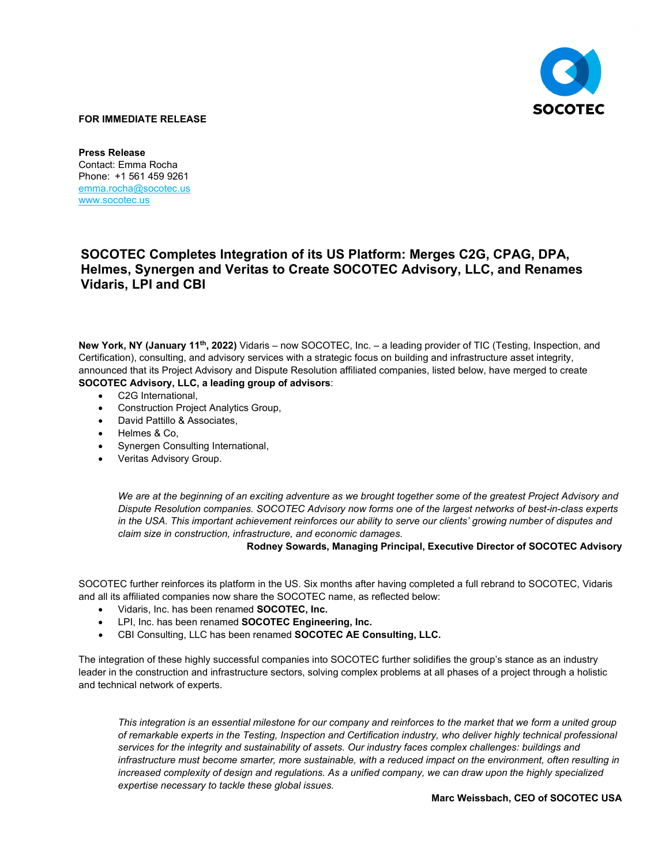

## **FOR IMMEDIATE RELEASE**

**Press Release** Contact: Emma Rocha Phone: +1 561 459 9261 [emma.rocha@socotec.us](mailto:emma.rocha@socotec.us) [www.socotec.us](http://www.socotec.us/) 

## **SOCOTEC Completes Integration of its US Platform: Merges C2G, CPAG, DPA, Helmes, Synergen and Veritas to Create SOCOTEC Advisory, LLC, and Renames Vidaris, LPI and CBI**

**New York, NY (January 11th, 2022)** Vidaris – now SOCOTEC, Inc. – a leading provider of TIC (Testing, Inspection, and Certification), consulting, and advisory services with a strategic focus on building and infrastructure asset integrity, announced that its Project Advisory and Dispute Resolution affiliated companies, listed below, have merged to create **SOCOTEC Advisory, LLC, a leading group of advisors**:

- C2G International,
- Construction Project Analytics Group,
- David Pattillo & Associates,
- Helmes & Co,
- Synergen Consulting International,
- Veritas Advisory Group.

*We are at the beginning of an exciting adventure as we brought together some of the greatest Project Advisory and Dispute Resolution companies. SOCOTEC Advisory now forms one of the largest networks of best-in-class experts in the USA. This important achievement reinforces our ability to serve our clients' growing number of disputes and claim size in construction, infrastructure, and economic damages.* 

**Rodney Sowards, Managing Principal, Executive Director of SOCOTEC Advisory**

SOCOTEC further reinforces its platform in the US. Six months after having completed a full rebrand to SOCOTEC, Vidaris and all its affiliated companies now share the SOCOTEC name, as reflected below:

- Vidaris, Inc. has been renamed **SOCOTEC, Inc.**
- LPI, Inc. has been renamed **SOCOTEC Engineering, Inc.**
- CBI Consulting, LLC has been renamed **SOCOTEC AE Consulting, LLC.**

The integration of these highly successful companies into SOCOTEC further solidifies the group's stance as an industry leader in the construction and infrastructure sectors, solving complex problems at all phases of a project through a holistic and technical network of experts.

*This integration is an essential milestone for our company and reinforces to the market that we form a united group of remarkable experts in the Testing, Inspection and Certification industry, who deliver highly technical professional services for the integrity and sustainability of assets. Our industry faces complex challenges: buildings and infrastructure must become smarter, more sustainable, with a reduced impact on the environment, often resulting in increased complexity of design and regulations. As a unified company, we can draw upon the highly specialized expertise necessary to tackle these global issues.* 

## **Marc Weissbach, CEO of SOCOTEC USA**